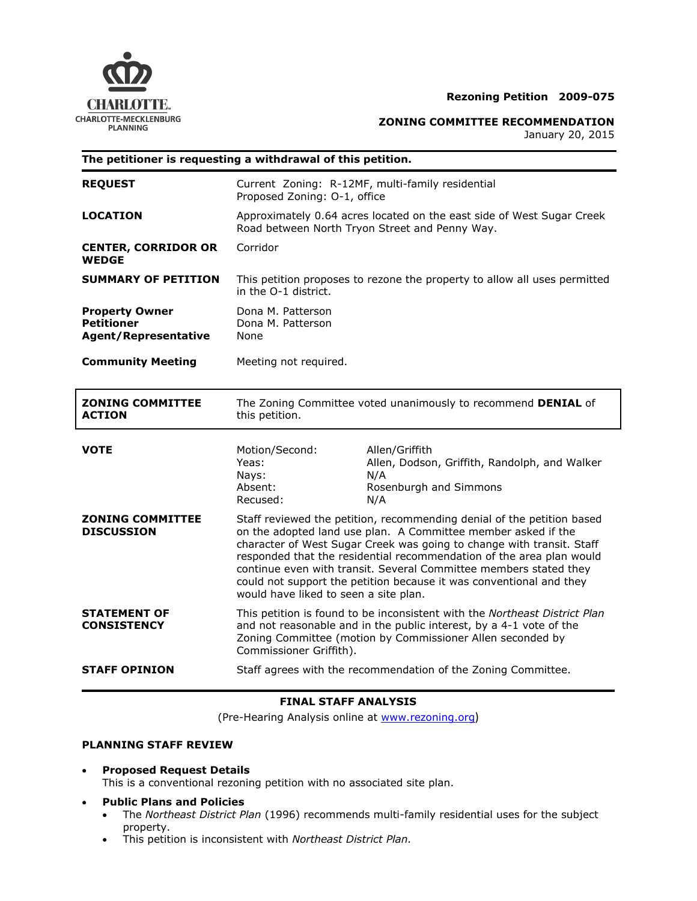

## **Rezoning Petition 2009-075**

**ZONING COMMITTEE RECOMMENDATION**

January 20, 2015

| The petitioner is requesting a withdrawal of this petition.               |                                                                                                                                                                                                                                                                                                                                                                                                                                                                               |                                                                                                         |
|---------------------------------------------------------------------------|-------------------------------------------------------------------------------------------------------------------------------------------------------------------------------------------------------------------------------------------------------------------------------------------------------------------------------------------------------------------------------------------------------------------------------------------------------------------------------|---------------------------------------------------------------------------------------------------------|
| <b>REQUEST</b>                                                            | Current Zoning: R-12MF, multi-family residential<br>Proposed Zoning: O-1, office                                                                                                                                                                                                                                                                                                                                                                                              |                                                                                                         |
| <b>LOCATION</b>                                                           | Approximately 0.64 acres located on the east side of West Sugar Creek<br>Road between North Tryon Street and Penny Way.                                                                                                                                                                                                                                                                                                                                                       |                                                                                                         |
| <b>CENTER, CORRIDOR OR</b><br><b>WEDGE</b>                                | Corridor                                                                                                                                                                                                                                                                                                                                                                                                                                                                      |                                                                                                         |
| <b>SUMMARY OF PETITION</b>                                                | This petition proposes to rezone the property to allow all uses permitted<br>in the O-1 district.                                                                                                                                                                                                                                                                                                                                                                             |                                                                                                         |
| <b>Property Owner</b><br><b>Petitioner</b><br><b>Agent/Representative</b> | Dona M. Patterson<br>Dona M. Patterson<br>None                                                                                                                                                                                                                                                                                                                                                                                                                                |                                                                                                         |
| <b>Community Meeting</b>                                                  | Meeting not required.                                                                                                                                                                                                                                                                                                                                                                                                                                                         |                                                                                                         |
| <b>ZONING COMMITTEE</b><br><b>ACTION</b>                                  | The Zoning Committee voted unanimously to recommend DENIAL of<br>this petition.                                                                                                                                                                                                                                                                                                                                                                                               |                                                                                                         |
| <b>VOTE</b>                                                               | Motion/Second:<br>Yeas:<br>Nays:<br>Absent:<br>Recused:                                                                                                                                                                                                                                                                                                                                                                                                                       | Allen/Griffith<br>Allen, Dodson, Griffith, Randolph, and Walker<br>N/A<br>Rosenburgh and Simmons<br>N/A |
| <b>ZONING COMMITTEE</b><br><b>DISCUSSION</b>                              | Staff reviewed the petition, recommending denial of the petition based<br>on the adopted land use plan. A Committee member asked if the<br>character of West Sugar Creek was going to change with transit. Staff<br>responded that the residential recommendation of the area plan would<br>continue even with transit. Several Committee members stated they<br>could not support the petition because it was conventional and they<br>would have liked to seen a site plan. |                                                                                                         |
| <b>STATEMENT OF</b><br><b>CONSISTENCY</b>                                 | This petition is found to be inconsistent with the Northeast District Plan<br>and not reasonable and in the public interest, by a 4-1 vote of the<br>Zoning Committee (motion by Commissioner Allen seconded by<br>Commissioner Griffith).                                                                                                                                                                                                                                    |                                                                                                         |
| <b>STAFF OPINION</b>                                                      | Staff agrees with the recommendation of the Zoning Committee.                                                                                                                                                                                                                                                                                                                                                                                                                 |                                                                                                         |

# **FINAL STAFF ANALYSIS**

(Pre-Hearing Analysis online at [www.rezoning.org](http://www.rezoning.org/))

## **PLANNING STAFF REVIEW**

- **Proposed Request Details** This is a conventional rezoning petition with no associated site plan.
- **Public Plans and Policies**
	- The *Northeast District Plan* (1996) recommends multi-family residential uses for the subject property.
	- This petition is inconsistent with *Northeast District Plan.*